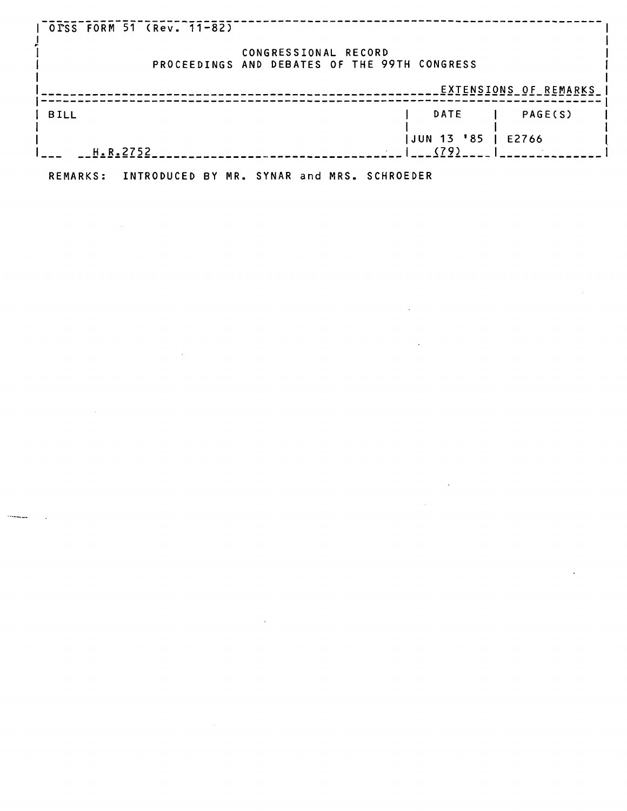| OTSS FORM 51 (Rev. 11-82) |                                                                      |                       |
|---------------------------|----------------------------------------------------------------------|-----------------------|
|                           | CONGRESSIONAL RECORD<br>PROCEEDINGS AND DEBATES OF THE 99TH CONGRESS |                       |
|                           |                                                                      | EXTENSIONS OF REMARKS |
| <b>BILL</b>               | <b>DATE</b>                                                          | PAGE(S)               |
| H.R.2752                  | JUN 13 '85<br>(79)                                                   | E2766                 |

 $\mathcal{L}^{\mathcal{L}}(\mathcal{L}^{\mathcal{L}})$  and  $\mathcal{L}^{\mathcal{L}}(\mathcal{L}^{\mathcal{L}})$ 

 $\sim 10^{11}$ 

 $\sim 10$ 

**REMARKS: INTRODUCED BY MR. SYNAR and MRS. SCHROEDER** 

 $\sim 10^{11}$ 

 $\mathcal{L}^{\text{max}}_{\text{max}}$ 

 $\mathcal{L}^{\text{max}}_{\text{max}}$ 

 $\sim 10$ 

 $\label{eq:2.1} \mathcal{L}(\mathcal{L}^{\mathcal{L}}_{\mathcal{L}}(\mathcal{L}^{\mathcal{L}}_{\mathcal{L}})) = \mathcal{L}(\mathcal{L}^{\mathcal{L}}_{\mathcal{L}}(\mathcal{L}^{\mathcal{L}}_{\mathcal{L}}))$